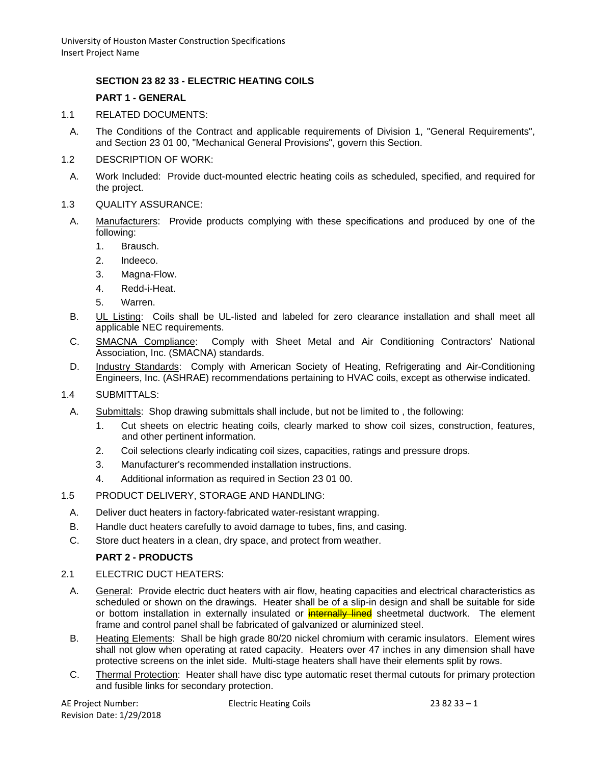# **SECTION 23 82 33 - ELECTRIC HEATING COILS**

## **PART 1 - GENERAL**

- 1.1 RELATED DOCUMENTS:
	- A. The Conditions of the Contract and applicable requirements of Division 1, "General Requirements", and Section 23 01 00, "Mechanical General Provisions", govern this Section.
- 1.2 DESCRIPTION OF WORK:
- A. Work Included: Provide duct-mounted electric heating coils as scheduled, specified, and required for the project.
- 1.3 QUALITY ASSURANCE:
- A. Manufacturers: Provide products complying with these specifications and produced by one of the following:
	- 1. Brausch.
	- 2. Indeeco.
	- 3. Magna-Flow.
	- 4. Redd-i-Heat.
	- 5. Warren.
- B. UL Listing: Coils shall be UL-listed and labeled for zero clearance installation and shall meet all applicable NEC requirements.
- C. SMACNA Compliance: Comply with Sheet Metal and Air Conditioning Contractors' National Association, Inc. (SMACNA) standards.
- D. Industry Standards: Comply with American Society of Heating, Refrigerating and Air-Conditioning Engineers, Inc. (ASHRAE) recommendations pertaining to HVAC coils, except as otherwise indicated.
- 1.4 SUBMITTALS:
- A. Submittals: Shop drawing submittals shall include, but not be limited to , the following:
	- 1. Cut sheets on electric heating coils, clearly marked to show coil sizes, construction, features, and other pertinent information.
	- 2. Coil selections clearly indicating coil sizes, capacities, ratings and pressure drops.
	- 3. Manufacturer's recommended installation instructions.
	- 4. Additional information as required in Section 23 01 00.
- 1.5 PRODUCT DELIVERY, STORAGE AND HANDLING:
	- A. Deliver duct heaters in factory-fabricated water-resistant wrapping.
	- B. Handle duct heaters carefully to avoid damage to tubes, fins, and casing.
	- C. Store duct heaters in a clean, dry space, and protect from weather.

# **PART 2 - PRODUCTS**

#### 2.1 ELECTRIC DUCT HEATERS:

- A. General: Provide electric duct heaters with air flow, heating capacities and electrical characteristics as scheduled or shown on the drawings. Heater shall be of a slip-in design and shall be suitable for side or bottom installation in externally insulated or **internally lined** sheetmetal ductwork. The element frame and control panel shall be fabricated of galvanized or aluminized steel.
- B. Heating Elements: Shall be high grade 80/20 nickel chromium with ceramic insulators. Element wires shall not glow when operating at rated capacity. Heaters over 47 inches in any dimension shall have protective screens on the inlet side. Multi-stage heaters shall have their elements split by rows.
- C. Thermal Protection: Heater shall have disc type automatic reset thermal cutouts for primary protection and fusible links for secondary protection.